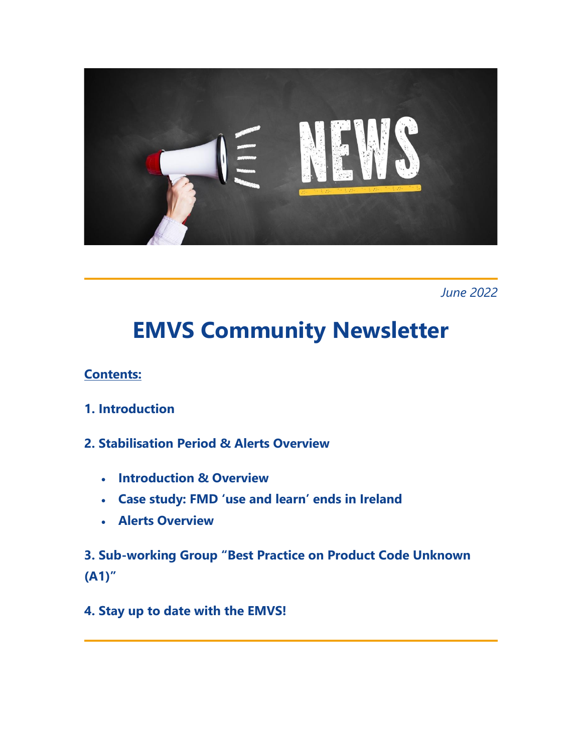

*June 2022*

# **EMVS Community Newsletter**

# **Contents:**

- **1. Introduction**
- **2. Stabilisation Period & Alerts Overview** 
	- **Introduction & Overview**
	- **Case study: FMD 'use and learn' ends in Ireland**
	- **Alerts Overview**

**3. Sub-working Group "Best Practice on Product Code Unknown (A1)"** 

**4. Stay up to date with the EMVS!**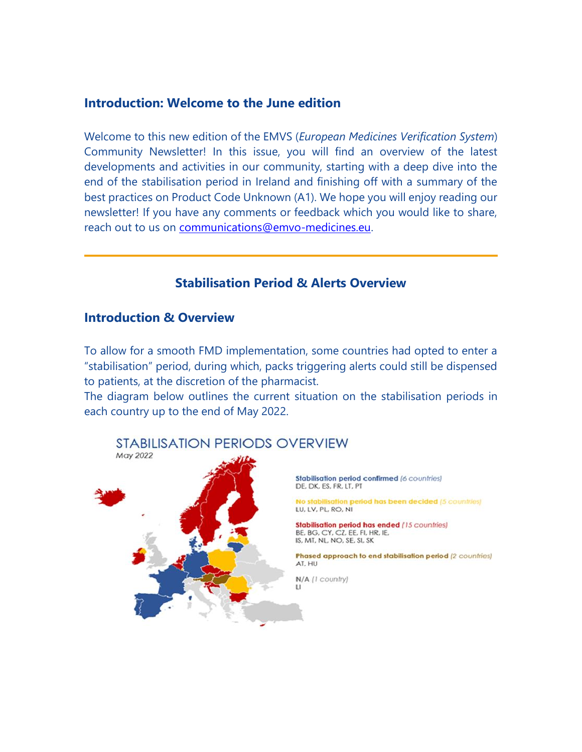### **Introduction: Welcome to the June edition**

Welcome to this new edition of the EMVS (*European Medicines Verification System*) Community Newsletter! In this issue, you will find an overview of the latest developments and activities in our community, starting with a deep dive into the end of the stabilisation period in Ireland and finishing off with a summary of the best practices on Product Code Unknown (A1). We hope you will enjoy reading our newsletter! If you have any comments or feedback which you would like to share, reach out to us on [communications@emvo-medicines.eu.](mailto:communications@emvo-medicines.eu)

### **Stabilisation Period & Alerts Overview**

#### **Introduction & Overview**

To allow for a smooth FMD implementation, some countries had opted to enter a "stabilisation" period, during which, packs triggering alerts could still be dispensed to patients, at the discretion of the pharmacist.

The diagram below outlines the current situation on the stabilisation periods in each country up to the end of May 2022.



#### Stabilisation period confirmed (6 countries) DE. DK. ES. FR. LT. PT

to stabilisation period has been decided (5 countries) LU, LV, PL, RO, NI

**Stabilisation period has ended (15 countries)** BE, BG, CY, CZ, EE, FI, HR, IE, IS, MT, NL, NO, SE, SI, SK

Phased approach to end stabilisation period (2 countries) AT, HU

N/A (1 country)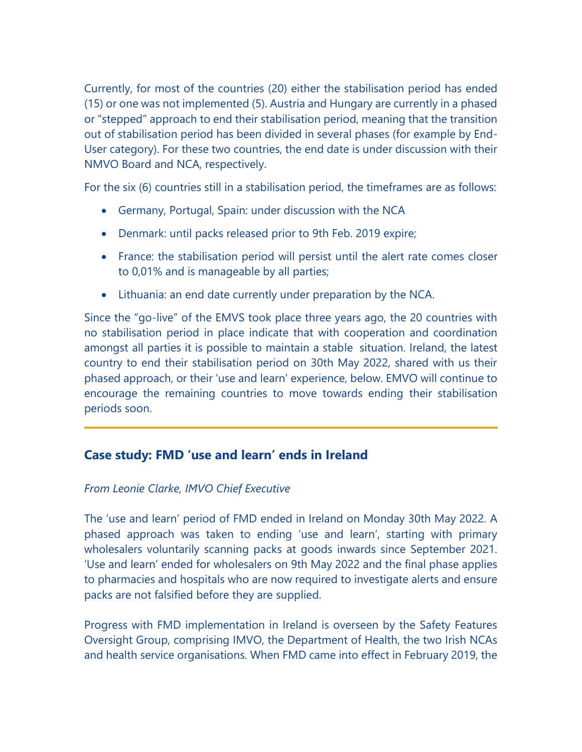Currently, for most of the countries (20) either the stabilisation period has ended (15) or one was not implemented (5). Austria and Hungary are currently in a phased or "stepped" approach to end their stabilisation period, meaning that the transition out of stabilisation period has been divided in several phases (for example by End-User category). For these two countries, the end date is under discussion with their NMVO Board and NCA, respectively.

For the six (6) countries still in a stabilisation period, the timeframes are as follows:

- Germany, Portugal, Spain: under discussion with the NCA
- Denmark: until packs released prior to 9th Feb. 2019 expire;
- France: the stabilisation period will persist until the alert rate comes closer to 0,01% and is manageable by all parties;
- Lithuania: an end date currently under preparation by the NCA.

Since the "go-live" of the EMVS took place three years ago, the 20 countries with no stabilisation period in place indicate that with cooperation and coordination amongst all parties it is possible to maintain a stable situation. Ireland, the latest country to end their stabilisation period on 30th May 2022, shared with us their phased approach, or their 'use and learn' experience, below. EMVO will continue to encourage the remaining countries to move towards ending their stabilisation periods soon.

# **Case study: FMD 'use and learn' ends in Ireland**

#### *From Leonie Clarke, IMVO Chief Executive*

The 'use and learn' period of FMD ended in Ireland on Monday 30th May 2022. A phased approach was taken to ending 'use and learn', starting with primary wholesalers voluntarily scanning packs at goods inwards since September 2021. 'Use and learn' ended for wholesalers on 9th May 2022 and the final phase applies to pharmacies and hospitals who are now required to investigate alerts and ensure packs are not falsified before they are supplied.

Progress with FMD implementation in Ireland is overseen by the Safety Features Oversight Group, comprising IMVO, the Department of Health, the two Irish NCAs and health service organisations. When FMD came into effect in February 2019, the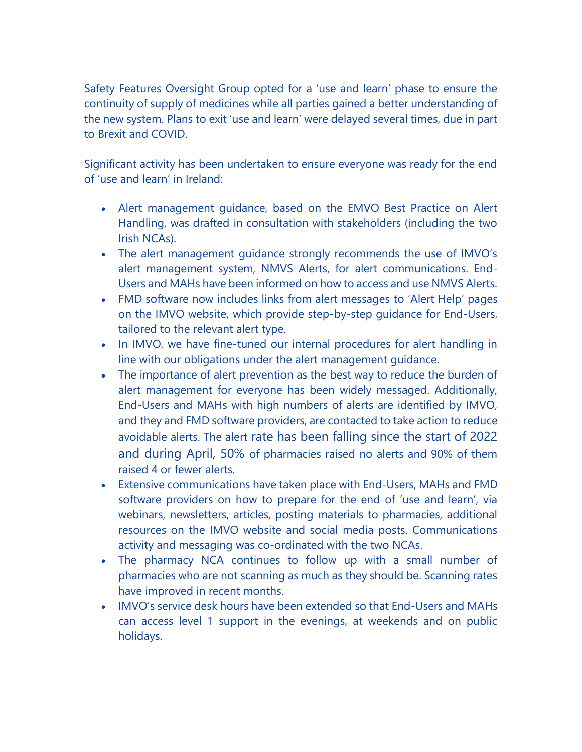Safety Features Oversight Group opted for a 'use and learn' phase to ensure the continuity of supply of medicines while all parties gained a better understanding of the new system. Plans to exit 'use and learn' were delayed several times, due in part to Brexit and COVID.

Significant activity has been undertaken to ensure everyone was ready for the end of 'use and learn' in Ireland:

- Alert management guidance, based on the EMVO Best Practice on Alert Handling, was drafted in consultation with stakeholders (including the two Irish NCAs).
- The alert management guidance strongly recommends the use of IMVO's alert management system, NMVS Alerts, for alert communications. End-Users and MAHs have been informed on how to access and use NMVS Alerts.
- FMD software now includes links from alert messages to 'Alert Help' pages on the IMVO website, which provide step-by-step guidance for End-Users, tailored to the relevant alert type.
- In IMVO, we have fine-tuned our internal procedures for alert handling in line with our obligations under the alert management guidance.
- The importance of alert prevention as the best way to reduce the burden of alert management for everyone has been widely messaged. Additionally, End-Users and MAHs with high numbers of alerts are identified by IMVO, and they and FMD software providers, are contacted to take action to reduce avoidable alerts. The alert rate has been falling since the start of 2022 and during April, 50% of pharmacies raised no alerts and 90% of them raised 4 or fewer alerts.
- Extensive communications have taken place with End-Users, MAHs and FMD software providers on how to prepare for the end of 'use and learn', via webinars, newsletters, articles, posting materials to pharmacies, additional resources on the IMVO website and social media posts. Communications activity and messaging was co-ordinated with the two NCAs.
- The pharmacy NCA continues to follow up with a small number of pharmacies who are not scanning as much as they should be. Scanning rates have improved in recent months.
- IMVO's service desk hours have been extended so that End-Users and MAHs can access level 1 support in the evenings, at weekends and on public holidays.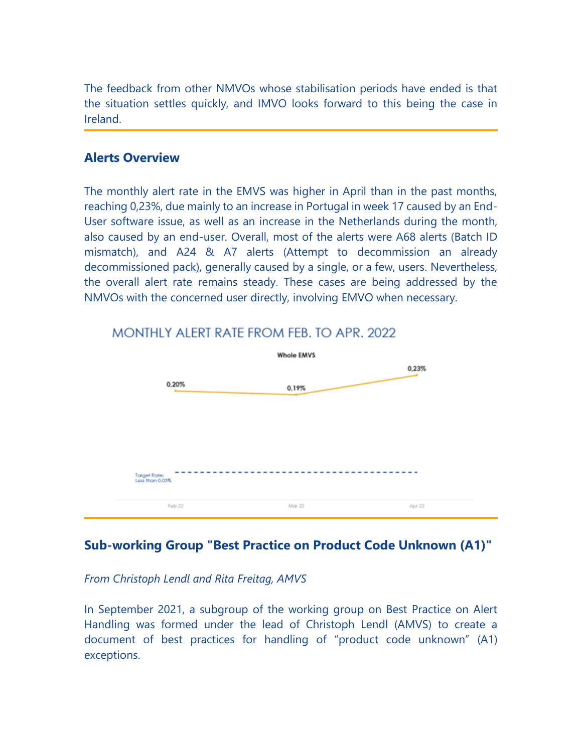The feedback from other NMVOs whose stabilisation periods have ended is that the situation settles quickly, and IMVO looks forward to this being the case in Ireland.

## **Alerts Overview**

The monthly alert rate in the EMVS was higher in April than in the past months, reaching 0,23%, due mainly to an increase in Portugal in week 17 caused by an End-User software issue, as well as an increase in the Netherlands during the month, also caused by an end-user. Overall, most of the alerts were A68 alerts (Batch ID mismatch), and A24 & A7 alerts (Attempt to decommission an already decommissioned pack), generally caused by a single, or a few, users. Nevertheless, the overall alert rate remains steady. These cases are being addressed by the NMVOs with the concerned user directly, involving EMVO when necessary.



# MONTHLY ALERT RATE FROM FEB. TO APR. 2022

# **Sub-working Group "Best Practice on Product Code Unknown (A1)"**

#### *From Christoph Lendl and Rita Freitag, AMVS*

In September 2021, a subgroup of the working group on Best Practice on Alert Handling was formed under the lead of Christoph Lendl (AMVS) to create a document of best practices for handling of "product code unknown" (A1) exceptions.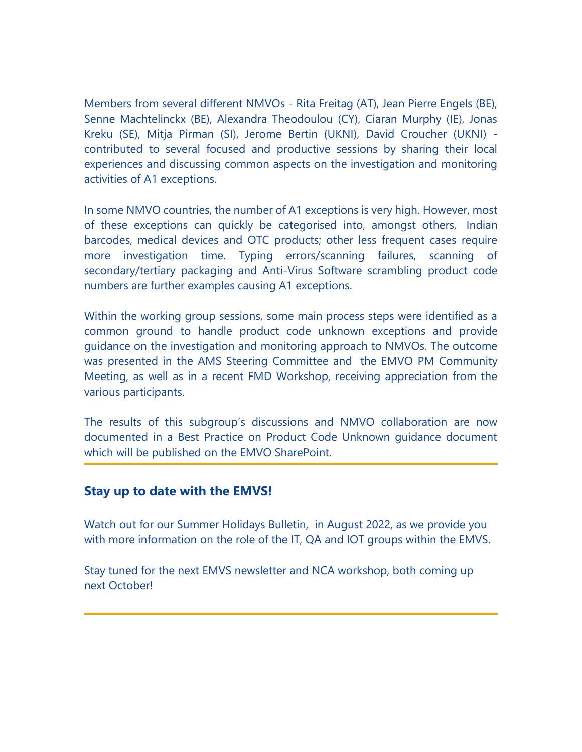Members from several different NMVOs - Rita Freitag (AT), Jean Pierre Engels (BE), Senne Machtelinckx (BE), Alexandra Theodoulou (CY), Ciaran Murphy (IE), Jonas Kreku (SE), Mitja Pirman (SI), Jerome Bertin (UKNI), David Croucher (UKNI) contributed to several focused and productive sessions by sharing their local experiences and discussing common aspects on the investigation and monitoring activities of A1 exceptions.

In some NMVO countries, the number of A1 exceptions is very high. However, most of these exceptions can quickly be categorised into, amongst others, Indian barcodes, medical devices and OTC products; other less frequent cases require more investigation time. Typing errors/scanning failures, scanning of secondary/tertiary packaging and Anti-Virus Software scrambling product code numbers are further examples causing A1 exceptions.

Within the working group sessions, some main process steps were identified as a common ground to handle product code unknown exceptions and provide guidance on the investigation and monitoring approach to NMVOs. The outcome was presented in the AMS Steering Committee and the EMVO PM Community Meeting, as well as in a recent FMD Workshop, receiving appreciation from the various participants.

The results of this subgroup's discussions and NMVO collaboration are now documented in a Best Practice on Product Code Unknown guidance document which will be published on the EMVO SharePoint.

#### **Stay up to date with the EMVS!**

Watch out for our Summer Holidays Bulletin, in August 2022, as we provide you with more information on the role of the IT, QA and IOT groups within the EMVS.

Stay tuned for the next EMVS newsletter and NCA workshop, both coming up next October!